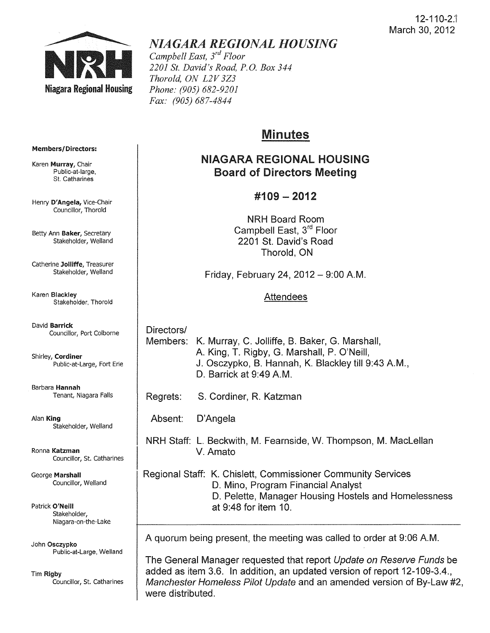

# *NIAGARA REGIONAL HOUSING*

*Campbell East, 3rd Floor 2201 St. David's Road, P.G. Box 344 Thorold, ON L2V 3Z3 Phone: (905) 682-9201 Fax: (905) 687-4844* 

# Minutes

# NIAGARA REGIONAL HOUSING Board of Directors Meeting

# $\#109 - 2012$

NRH Board Room Campbell East, 3rd Floor 2201 St. David's Road Thorold, ON

Friday, February 24,  $2012 - 9:00$  A.M.

# Attendees

Directors/ Members: K. Murray, C. Jolliffe, B. Baker, G. Marshall, A King, T. Rigby, G. Marshall, P. O'Neill, J. Osczypko, B. Hannah, K. Blackley till 9:43 AM., D. Barrick at 9:49 A.M.

- Regrets: S. Cordiner, R. Katzman
- Absent: D'Angela

NRH Staff: L. Beckwith, M. Fearnside, W. Thompson, M. Maclellan V. Amato

Regional Staff: K. Chislett, Commissioner Community Services D. Mino, Program Financial Analyst D. Pelette, Manager Housing Hostels and Homelessness at 9:48 for item 10.

A quorum being present, the meeting was called to order at 9:06 AM.

The General Manager requested that report Update on Reserve Funds be added as item 3.6. In addition, an updated version of report 12-109-3.4., Manchester Homeless Pilot Update and an amended version of By-law #2, were distributed.

#### Members/Directors:

Karen Murray, Chair Public-at-Iarge, St. Catharines

Henry D'Angela, Vice-Chair Councillor, Thorold

Betty Ann Baker, Secretary Stakeholder, Weiland

Catherine Jolliffe, Treasurer Stakeholder, Weiland

Karen Blackley Stakeholder, Thorold

David Barrick Councillor, Port Colborne

Shirley, Cordiner Public-at-Large, Fort Erie

Barbara Hannah Tenant, Niagara Falls

Alan King Stakeholder, Weiland

Ronna Katzman Councillor, St. Catharines

George Marshall Councillor, Weiland

Patrick O'Neill Stakeholder, Niagara-on-the-Lake

John Osczypko Public-at-Large, Welland

Tim Rigby Councillor, St. Catharines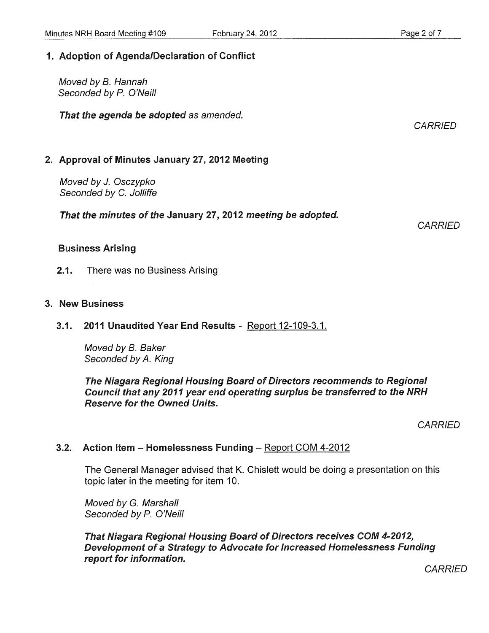Moved by B. Hannah Seconded by P. O'Neill

That the agenda be adopted as amended.

# 2. Approval of Minutes January 27, 2012 Meeting

Moved by J. Osczypko Seconded by C. Jolliffe

That the minutes of the January 27, 2012 meeting be adopted.

**CARRIED** 

#### Business Arising

2.1. There was no Business Arising

### 3. New Business

3.1. 2011 Unaudited Year End Results - Report 12-109-3.1.

Moved by B. Baker Seconded by A. King

The Niagara Regional Housing Board of Directors recommends to Regional Council that any 2011 year end operating surplus be transferred to the NRH Reserve for the Owned Units.

**CARRIED** 

# 3.2. Action Item - Homelessness Funding - Report COM 4-2012

The General Manager advised that K. Chislett would be doing a presentation on this topic later in the meeting for item 10.

Moved by G. Marshall Seconded by P. O'Neill

That Niagara Regional Housing Board of Directors receives COM 4-2012, Development of a Strategy to Advocate for Increased Homelessness Funding report for information.

**CARRIED** 

**CARRIED**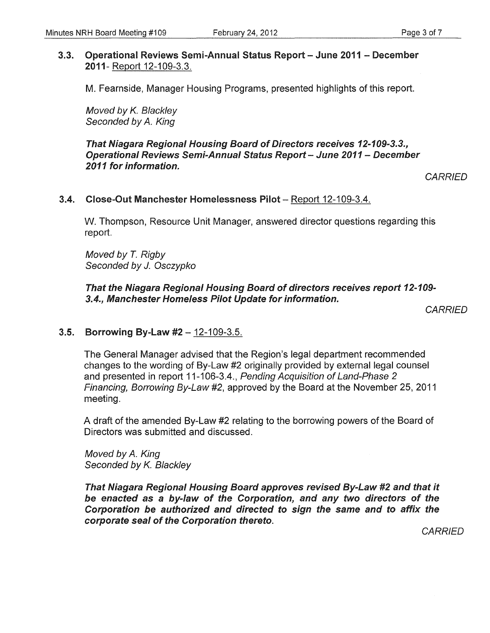#### 3.3. Operational Reviews Semi-Annual Status Report - June 2011 - December 2011- Report 12-109-3.3.

M. Fearnside, Manager Housing Programs, presented highlights of this report.

Moved by K. Blackley Seconded by A. King

That Niagara Regional Housing Board of Directors receives 12-109-3.3., Operational Reviews Semi-Annual Status Report - June 2011 - December 2011 for information.

**CARRIED** 

#### 3.4. Close-Out Manchester Homelessness Pilot - Report 12-109-3.4.

W. Thompson, Resource Unit Manager, answered director questions regarding this report.

Moved by T. Rigby Seconded by J. Osczypko

That the Niagara Regional Housing Board of directors receives report 12-109-3.4., Manchester Homeless Pilot Update for information.

**CARRIED** 

#### 3.5. Borrowing By-Law #2 - 12-109-3.5.

The General Manager advised that the Region's legal department recommended changes to the wording of By-Law #2 originally provided by external legal counsel and presented in report 11-106-3.4., Pending Acquisition of Land-Phase 2 Financing, Borrowing By-Law #2, approved by the Board at the November 25, 2011 meeting.

A draft of the amended By-Law #2 relating to the borrowing powers of the Board of Directors was submitted and discussed.

Moved by A. King Seconded by K. Blackley

That Niagara Regional Housing Board approves revised By-Law #2 and that it be enacted as a by-law of the Corporation, and any two directors of the Corporation be authorized and directed to sign the same and to affix the corporate seal of the Corporation thereto.

**CARRIED**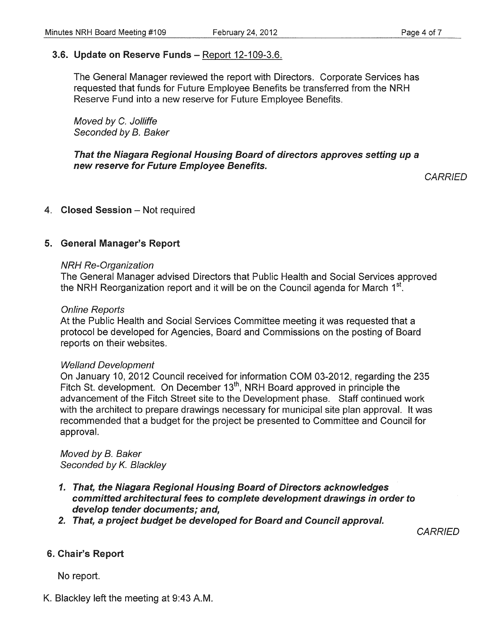# 3.6. Update on Reserve Funds - Report 12-109-3.6.

The General Manager reviewed the report with Directors. Corporate Services has requested that funds for Future Employee Benefits be transferred from the NRH Reserve Fund into a new reserve for Future Employee Benefits.

Moved by C. Jolliffe Seconded by B. Baker

#### That the Niagara Regional Housing Board of directors approves setting up a new reserve for Future Employee Benefits.

**CARRIED** 

#### 4. Closed Session - Not required

### 5. General Manager's Report

#### NRH Re-Organization

The General Manager advised Directors that Public Health and Social Services approved the NRH Reorganization report and it will be on the Council agenda for March  $1<sup>st</sup>$ .

#### Online Reports

At the Public Health and Social Services Committee meeting it was requested that a protocol be developed for Agencies, Board and Commissions on the posting of Board reports on their websites.

#### Welland Development

On January 10,2012 Council received for information COM 03-2012, regarding the 235 Fitch St. development. On December 13<sup>th</sup>, NRH Board approved in principle the advancement of the Fitch Street site to the Development phase. Staff continued work with the architect to prepare drawings necessary for municipal site plan approval. It was recommended that a budget for the project be presented to Committee and Council for approval.

Moved by B. Baker Seconded by K. Blackley

- 1. That, the Niagara Regional Housing Board of Directors acknowledges committed architectural fees to complete development drawings in order to develop tender documents; and,
- 2. That, a project budget be developed for Board and Council approval.

**CARRIED** 

#### 6. Chair's Report

No report.

K. Blackley left the meeting at 9:43 A.M.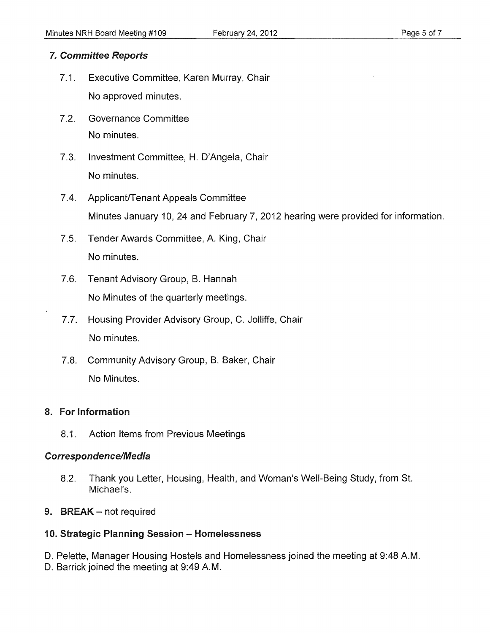### *7. Committee Reports*

- 7.1. Executive Committee, Karen Murray, Chair No approved minutes.
- 7.2. Governance Committee No minutes.
- 7.3. Investment Committee, H. D'Angela, Chair No minutes.
- 7.4. Applicant/Tenant Appeals Committee Minutes January 10, 24 and February 7,2012 hearing were provided for information.
- 7.5. Tender Awards Committee, A. King, Chair No minutes.
- 7.6. Tenant Advisory Group, B. Hannah No Minutes of the quarterly meetings.
- 7.7. Housing Provider Advisory Group, C. Jolliffe, Chair No minutes.
- 7.8. Community Advisory Group, B. Baker, Chair No Minutes.

#### 8. For Information

8.1. Action Items from Previous Meetings

#### Correspondence/Media

- 8.2. Thank you Letter, Housing, Health, and Woman's Well-Being Study, from St. Michael'S.
- 9. BREAK not required

# 10. Strategic Planning Session - Homelessness

D. Pelette, Manager Housing Hostels and Homelessness joined the meeting at 9:48 AM.

D. Barrick joined the meeting at 9:49 A.M.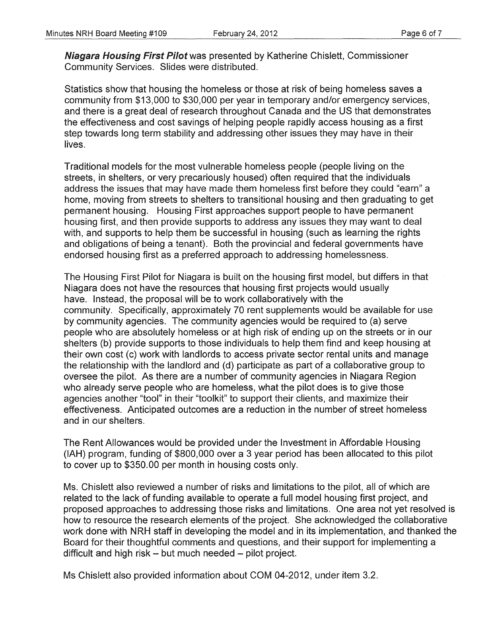Niagara Housing First Pilot was presented by Katherine Chislett, Commissioner Community Services. Slides were distributed.

Statistics show that housing the homeless or those at risk of being homeless saves a community from \$13,000 to \$30,000 per year in temporary and/or emergency services, and there is a great deal of research throughout Canada and the US that demonstrates the effectiveness and cost savings of helping people rapidly access housing as a first step towards long term stability and addressing other issues they may have in their lives.

Traditional models for the most vulnerable homeless people (people living on the streets, in shelters, or very precariously housed) often required that the individuals address the issues that may have made them homeless first before they could "earn" a home, moving from streets to shelters to transitional housing and then graduating to get permanent housing. Housing First approaches support people to have permanent housing first, and then provide supports to address any issues they may want to deal with, and supports to help them be successful in housing (such as learning the rights and obligations of being a tenant). Both the provincial and federal governments have endorsed housing first as a preferred approach to addressing homelessness.

The Housing First Pilot for Niagara is built on the housing first model, but differs in that Niagara does not have the resources that housing first projects would usually have. Instead, the proposal will be to work collaboratively with the community. Specifically, approximately 70 rent supplements would be available for use by community agencies. The community agencies would be required to (a) serve people who are absolutely homeless or at high risk of ending up on the streets or in our shelters (b) provide supports to those individuals to help them find and keep housing at their own cost (c) work with landlords to access private sector rental units and manage the relationship with the landlord and (d) participate as part of a collaborative group to oversee the pilot. As there are a number of community agencies in Niagara Region who already serve people who are homeless, what the pilot does is to give those agencies another "tool" in their "toolkit" to support their clients, and maximize their effectiveness. Anticipated outcomes are a reduction in the number of street homeless and in our shelters.

The Rent Allowances would be provided under the Investment in Affordable Housing (lAH) program, funding of \$800,000 over a 3 year period has been allocated to this pilot to cover up to \$350.00 per month in housing costs only.

Ms. Chislett also reviewed a number of risks and limitations to the pilot, all of which are related to the lack of funding available to operate a full model housing first project, and proposed approaches to addressing those risks and limitations. One area not yet resolved is how to resource the research elements of the project. She acknowledged the collaborative work done with NRH staff in developing the model and in its implementation, and thanked the Board for their thoughtful comments and questions, and their support for implementing a difficult and high risk - but much needed - pilot project.

Ms Chislett also provided information about COM 04-2012, under item 3.2.